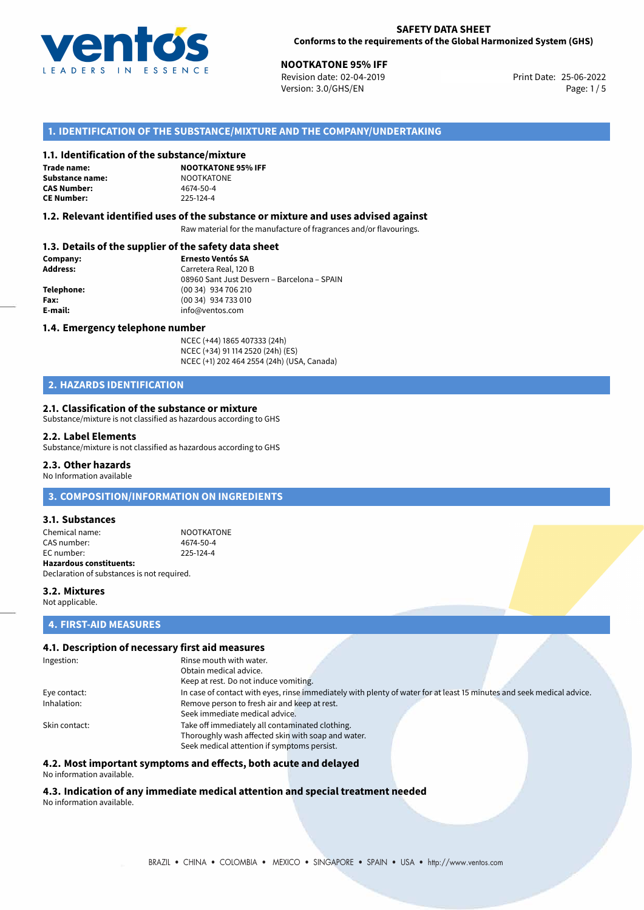

**NOOTKATONE 95% IFF**<br>
Revision date: 02-04-2019 **Print Date: 25-06-2022** Version: 3.0/GHS/EN Page: 1/5

### **1. IDENTIFICATION OF THE SUBSTANCE/MIXTURE AND THE COMPANY/UNDERTAKING**

#### **1.1. Identification of the substance/mixture**

**Trade name: Substance name:** NOOTKATONE<br> **CAS Number:** 4674-50-4 **CAS Number: CE Number:** 225-124-4

**NOOTKATONE 95% IFF**

#### **1.2. Relevant identified uses of the substance or mixture and uses advised against**

Raw material for the manufacture of fragrances and/or flavourings.

#### **1.3. Details of the supplier of the safety data sheet**

| Company:   | <b>Ernesto Ventós SA</b>                    |  |
|------------|---------------------------------------------|--|
| Address:   | Carretera Real, 120 B                       |  |
|            | 08960 Sant Just Desvern - Barcelona - SPAIN |  |
| Telephone: | (00 34) 934 706 210                         |  |
| Fax:       | (00 34) 934 733 010                         |  |
| E-mail:    | info@ventos.com                             |  |
|            |                                             |  |

#### **1.4. Emergency telephone number**

NCEC (+44) 1865 407333 (24h) NCEC (+34) 91 114 2520 (24h) (ES) NCEC (+1) 202 464 2554 (24h) (USA, Canada)

# **2. HAZARDS IDENTIFICATION**

#### **2.1. Classification of the substance or mixture**

Substance/mixture is not classified as hazardous according to GHS

#### **2.2. Label Elements**

Substance/mixture is not classified as hazardous according to GHS

#### **2.3. Other hazards**

No Information available

# **3. COMPOSITION/INFORMATION ON INGREDIENTS**

#### **3.1. Substances**

Chemical name: NOOTKATONE CAS number: 4674-50-4<br>
FC number: 225-124-4  $FC number$ **Hazardous constituents:** Declaration of substances is not required.

**3.2. Mixtures** Not applicable.

#### **4. FIRST-AID MEASURES**

#### **4.1. Description of necessary first aid measures**

| Ingestion:    | Rinse mouth with water.                                                                                               |
|---------------|-----------------------------------------------------------------------------------------------------------------------|
|               | Obtain medical advice.                                                                                                |
|               | Keep at rest. Do not induce vomiting.                                                                                 |
| Eye contact:  | In case of contact with eyes, rinse immediately with plenty of water for at least 15 minutes and seek medical advice. |
| Inhalation:   | Remove person to fresh air and keep at rest.                                                                          |
|               | Seek immediate medical advice.                                                                                        |
| Skin contact: | Take off immediately all contaminated clothing.                                                                       |
|               | Thoroughly wash affected skin with soap and water.                                                                    |
|               | Seek medical attention if symptoms persist.                                                                           |

### **4.2. Most important symptoms and effects, both acute and delayed**

No information available.

#### **4.3. Indication of any immediate medical attention and special treatment needed** No information available.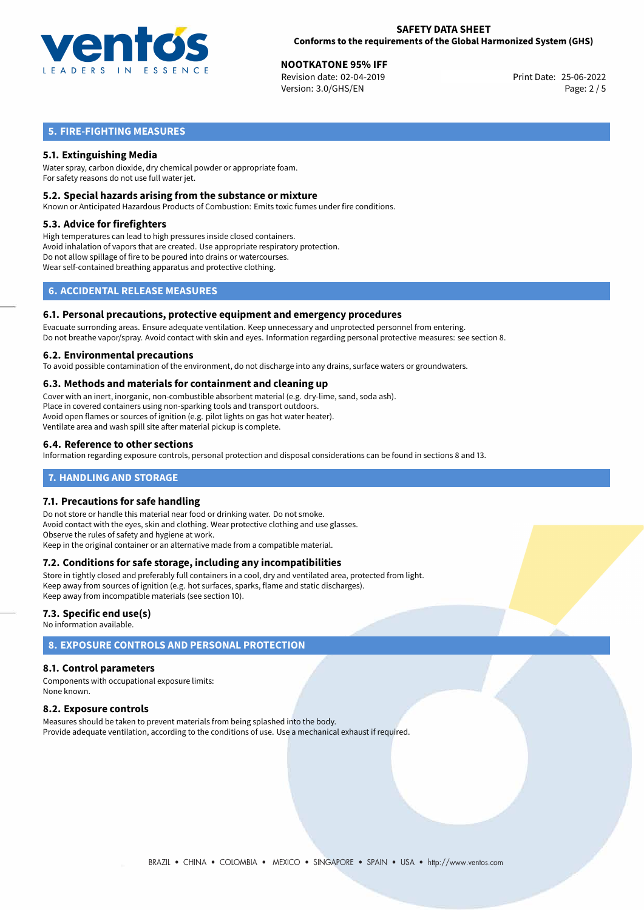

**NOOTKATONE 95% IFF**<br>
Revision date: 02-04-2019 **Print Date: 25-06-2022** Version: 3.0/GHS/EN Page: 2 / 5

# **5. FIRE-FIGHTING MEASURES**

# **5.1. Extinguishing Media**

Water spray, carbon dioxide, dry chemical powder or appropriate foam. For safety reasons do not use full water jet.

#### **5.2. Special hazards arising from the substance or mixture**

Known or Anticipated Hazardous Products of Combustion: Emits toxic fumes under fire conditions.

#### **5.3. Advice for firefighters**

High temperatures can lead to high pressures inside closed containers. Avoid inhalation of vapors that are created. Use appropriate respiratory protection. Do not allow spillage of fire to be poured into drains or watercourses. Wear self-contained breathing apparatus and protective clothing.

# **6. ACCIDENTAL RELEASE MEASURES**

#### **6.1. Personal precautions, protective equipment and emergency procedures**

Evacuate surronding areas. Ensure adequate ventilation. Keep unnecessary and unprotected personnel from entering. Do not breathe vapor/spray. Avoid contact with skin and eyes. Information regarding personal protective measures: see section 8.

#### **6.2. Environmental precautions**

To avoid possible contamination of the environment, do not discharge into any drains, surface waters or groundwaters.

#### **6.3. Methods and materials for containment and cleaning up**

Cover with an inert, inorganic, non-combustible absorbent material (e.g. dry-lime, sand, soda ash). Place in covered containers using non-sparking tools and transport outdoors. Avoid open flames or sources of ignition (e.g. pilot lights on gas hot water heater). Ventilate area and wash spill site after material pickup is complete.

#### **6.4. Reference to other sections**

Information regarding exposure controls, personal protection and disposal considerations can be found in sections 8 and 13.

#### **7. HANDLING AND STORAGE**

#### **7.1. Precautions for safe handling**

Do not store or handle this material near food or drinking water. Do not smoke. Avoid contact with the eyes, skin and clothing. Wear protective clothing and use glasses. Observe the rules of safety and hygiene at work. Keep in the original container or an alternative made from a compatible material.

#### **7.2. Conditions for safe storage, including any incompatibilities**

Store in tightly closed and preferably full containers in a cool, dry and ventilated area, protected from light. Keep away from sources of ignition (e.g. hot surfaces, sparks, flame and static discharges). Keep away from incompatible materials (see section 10).

#### **7.3. Specific end use(s)**

No information available.

# **8. EXPOSURE CONTROLS AND PERSONAL PROTECTION**

#### **8.1. Control parameters**

Components with occupational exposure limits: None known.

#### **8.2. Exposure controls**

Measures should be taken to prevent materials from being splashed into the body. Provide adequate ventilation, according to the conditions of use. Use a mechanical exhaust if required.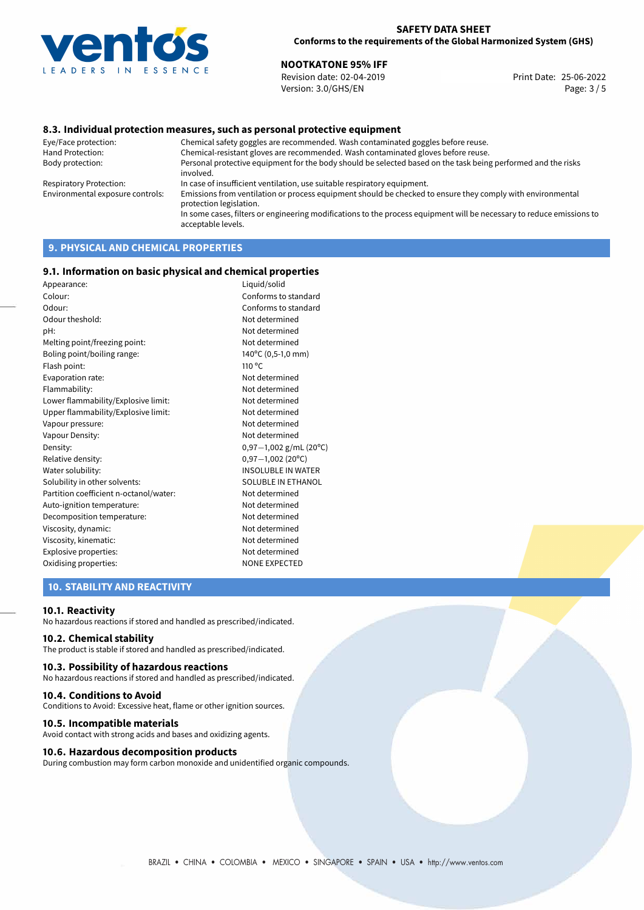

# **NOOTKATONE 95% IFF**<br>
Revision date: 02-04-2019<br> **Print Date: 25-06-2022**

Revision date: 02-04-2019 Version: 3.0/GHS/EN Page: 3 / 5

#### **8.3. Individual protection measures, such as personal protective equipment**

Eye/Face protection: Chemical safety goggles are recommended. Wash contaminated goggles before reuse. Chemical-resistant gloves are recommended. Wash contaminated gloves before reuse. Body protection: Personal protective equipment for the body should be selected based on the task being performed and the risks involved. Respiratory Protection: In case of insufficient ventilation, use suitable respiratory equipment. Environmental exposure controls: Emissions from ventilation or process equipment should be checked to ensure they comply with environmental protection legislation. In some cases, filters or engineering modifications to the process equipment will be necessary to reduce emissions to acceptable levels.

# **9. PHYSICAL AND CHEMICAL PROPERTIES**

#### **9.1. Information on basic physical and chemical properties**

| Appearance:                            | Liquid/solid              |
|----------------------------------------|---------------------------|
| Colour:                                | Conforms to standard      |
| Odour:                                 | Conforms to standard      |
| Odour theshold:                        | Not determined            |
| pH:                                    | Not determined            |
| Melting point/freezing point:          | Not determined            |
| Boling point/boiling range:            | 140°C (0,5-1,0 mm)        |
| Flash point:                           | $110^{\circ}$ C           |
| Evaporation rate:                      | Not determined            |
| Flammability:                          | Not determined            |
| Lower flammability/Explosive limit:    | Not determined            |
| Upper flammability/Explosive limit:    | Not determined            |
| Vapour pressure:                       | Not determined            |
| Vapour Density:                        | Not determined            |
| Density:                               | $0,97-1,002$ g/mL (20°C)  |
| Relative density:                      | $0,97-1,002(20°C)$        |
| Water solubility:                      | <b>INSOLUBLE IN WATER</b> |
| Solubility in other solvents:          | <b>SOLUBLE IN ETHANOL</b> |
| Partition coefficient n-octanol/water: | Not determined            |
| Auto-ignition temperature:             | Not determined            |
| Decomposition temperature:             | Not determined            |
| Viscosity, dynamic:                    | Not determined            |
| Viscosity, kinematic:                  | Not determined            |
| Explosive properties:                  | Not determined            |
| Oxidising properties:                  | <b>NONE EXPECTED</b>      |

# **10. STABILITY AND REACTIVITY**

#### **10.1. Reactivity**

No hazardous reactions if stored and handled as prescribed/indicated.

#### **10.2. Chemical stability**

The product is stable if stored and handled as prescribed/indicated.

#### **10.3. Possibility of hazardous reactions**

No hazardous reactions if stored and handled as prescribed/indicated.

#### **10.4. Conditions to Avoid**

Conditions to Avoid: Excessive heat, flame or other ignition sources.

#### **10.5. Incompatible materials**

Avoid contact with strong acids and bases and oxidizing agents.

#### **10.6. Hazardous decomposition products**

During combustion may form carbon monoxide and unidentified organic compounds.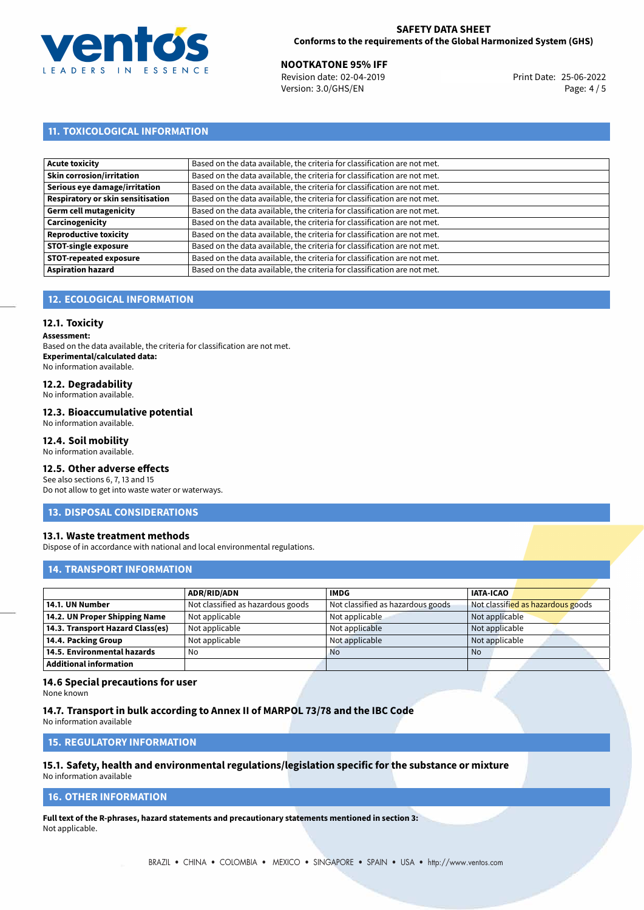

**NOOTKATONE 95% IFF**<br>
Revision date: 02-04-2019 **Print Date: 25-06-2022** Version: 3.0/GHS/EN Page: 4 / 5

# **11. TOXICOLOGICAL INFORMATION**

| <b>Acute toxicity</b>             | Based on the data available, the criteria for classification are not met. |
|-----------------------------------|---------------------------------------------------------------------------|
| <b>Skin corrosion/irritation</b>  | Based on the data available, the criteria for classification are not met. |
| Serious eye damage/irritation     | Based on the data available, the criteria for classification are not met. |
| Respiratory or skin sensitisation | Based on the data available, the criteria for classification are not met. |
| Germ cell mutagenicity            | Based on the data available, the criteria for classification are not met. |
| Carcinogenicity                   | Based on the data available, the criteria for classification are not met. |
| <b>Reproductive toxicity</b>      | Based on the data available, the criteria for classification are not met. |
| <b>STOT-single exposure</b>       | Based on the data available, the criteria for classification are not met. |
| <b>STOT-repeated exposure</b>     | Based on the data available, the criteria for classification are not met. |
| <b>Aspiration hazard</b>          | Based on the data available, the criteria for classification are not met. |

# **12. ECOLOGICAL INFORMATION**

#### **12.1. Toxicity**

**Assessment:**

Based on the data available, the criteria for classification are not met. **Experimental/calculated data:** No information available.

# **12.2. Degradability**

No information available.

#### **12.3. Bioaccumulative potential**

No information available.

## **12.4. Soil mobility**

No information available.

# **12.5. Other adverse effects**

See also sections 6, 7, 13 and 15 Do not allow to get into waste water or waterways.

#### **13. DISPOSAL CONSIDERATIONS**

#### **13.1. Waste treatment methods**

Dispose of in accordance with national and local environmental regulations.

#### **14. TRANSPORT INFORMATION**

|                                  | <b>ADR/RID/ADN</b>                | <b>IMDG</b>                       | <b>IATA-ICAO</b>                  |
|----------------------------------|-----------------------------------|-----------------------------------|-----------------------------------|
| 14.1. UN Number                  | Not classified as hazardous goods | Not classified as hazardous goods | Not classified as hazardous goods |
| 14.2. UN Proper Shipping Name    | Not applicable                    | Not applicable                    | Not applicable                    |
| 14.3. Transport Hazard Class(es) | Not applicable                    | Not applicable                    | Not applicable                    |
| 14.4. Packing Group              | Not applicable                    | Not applicable                    | Not applicable                    |
| 14.5. Environmental hazards      | No                                | <b>No</b>                         | <b>No</b>                         |
| Additional information           |                                   |                                   |                                   |

#### **14.6 Special precautions for user**

None known

#### **14.7. Transport in bulk according to Annex II of MARPOL 73/78 and the IBC Code**

No information available

# **15. REGULATORY INFORMATION**

# **15.1. Safety, health and environmental regulations/legislation specific for the substance or mixture**

No information available

# **16. OTHER INFORMATION**

**Full text of the R-phrases, hazard statements and precautionary statements mentioned in section 3:** Not applicable.